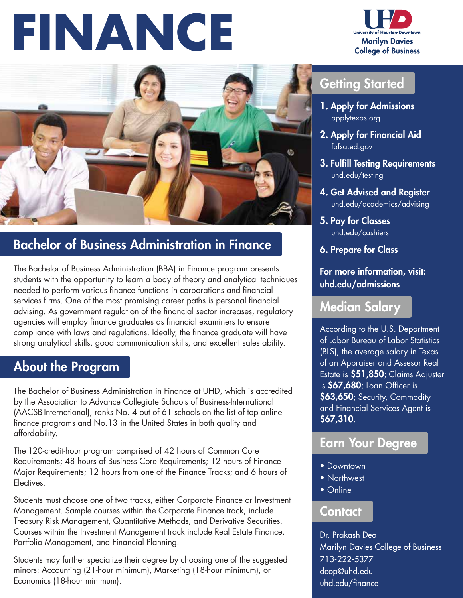# **FINANCE**





## Bachelor of Business Administration in Finance

The Bachelor of Business Administration (BBA) in Finance program presents students with the opportunity to learn a body of theory and analytical techniques needed to perform various finance functions in corporations and financial services firms. One of the most promising career paths is personal financial advising. As government regulation of the financial sector increases, regulatory agencies will employ finance graduates as financial examiners to ensure compliance with laws and regulations. Ideally, the finance graduate will have strong analytical skills, good communication skills, and excellent sales ability.

### About the Program

The Bachelor of Business Administration in Finance at UHD, which is accredited by the Association to Advance Collegiate Schools of Business-International (AACSB-International), ranks No. 4 out of 61 schools on the list of top online finance programs and No.13 in the United States in both quality and affordability.

The 120-credit-hour program comprised of 42 hours of Common Core Requirements; 48 hours of Business Core Requirements; 12 hours of Finance Major Requirements; 12 hours from one of the Finance Tracks; and 6 hours of Electives.

Students must choose one of two tracks, either Corporate Finance or Investment Management. Sample courses within the Corporate Finance track, include Treasury Risk Management, Quantitative Methods, and Derivative Securities. Courses within the Investment Management track include Real Estate Finance, Portfolio Management, and Financial Planning.

Students may further specialize their degree by choosing one of the suggested minors: Accounting (21-hour minimum), Marketing (18-hour minimum), or Economics (18-hour minimum).

### Getting Started

- 1. Apply for Admissions applytexas.org
- 2. Apply for Financial Aid fafsa.ed.gov
- 3. Fulfill Testing Requirements uhd.edu/testing
- 4. Get Advised and Register uhd.edu/academics/advising
- 5. Pay for Classes uhd.edu/cashiers
- 6. Prepare for Class

#### For more information, visit: uhd.edu/admissions

#### Median Salary

According to the U.S. Department of Labor Bureau of Labor Statistics (BLS), the average salary in Texas of an Appraiser and Assesor Real Estate is \$51,850; Claims Adjuster is \$67,680; Loan Officer is \$63,650; Security, Commodity and Financial Services Agent is \$67,310.

#### Earn Your Degree

- Downtown
- Northwest
- Online

#### Contact

Dr. Prakash Deo Marilyn Davies College of Business 713-222-5377 deop@uhd.edu uhd.edu/finance